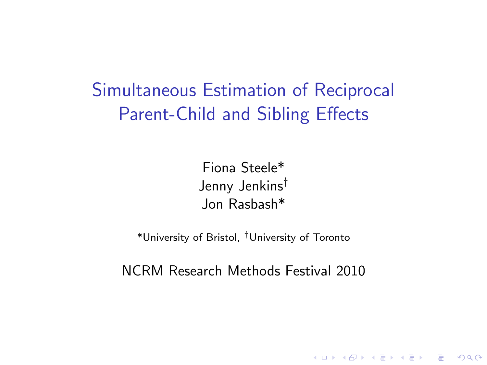Simultaneous Estimation of Reciprocal Parent-Child and Sibling Effects

> Fiona Steele\* Jenny Jenkins† Jon Rasbash\*

\*University of Bristol, †University of Toronto

NCRM Research Methods Festival 2010

K ロ ▶ K @ ▶ K 할 > K 할 > 1 할 > 1 이익어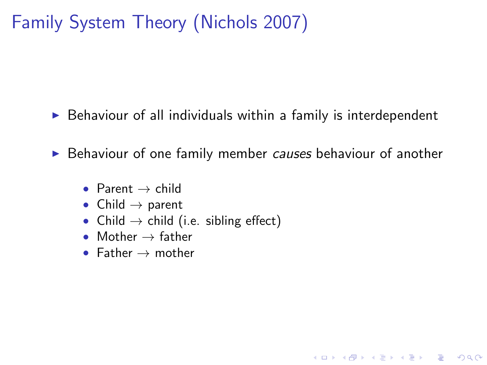# Family System Theory (Nichols 2007)

 $\triangleright$  Behaviour of all individuals within a family is interdependent

 $\triangleright$  Behaviour of one family member causes behaviour of another

**KORK ERKER ADE YOUR** 

- Parent  $\rightarrow$  child
- Child  $\rightarrow$  parent
- Child  $\rightarrow$  child (i.e. sibling effect)
- Mother  $\rightarrow$  father
- Father  $\rightarrow$  mother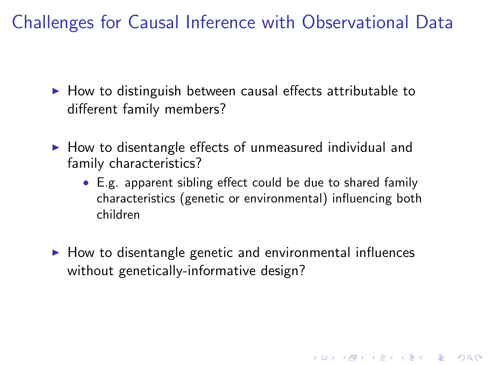Challenges for Causal Inference with Observational Data

- $\blacktriangleright$  How to distinguish between causal effects attributable to different family members?
- $\blacktriangleright$  How to disentangle effects of unmeasured individual and family characteristics?
	- E.g. apparent sibling effect could be due to shared family characteristics (genetic or environmental) influencing both children

4 D > 4 P + 4 B + 4 B + B + 9 Q O

 $\blacktriangleright$  How to disentangle genetic and environmental influences without genetically-informative design?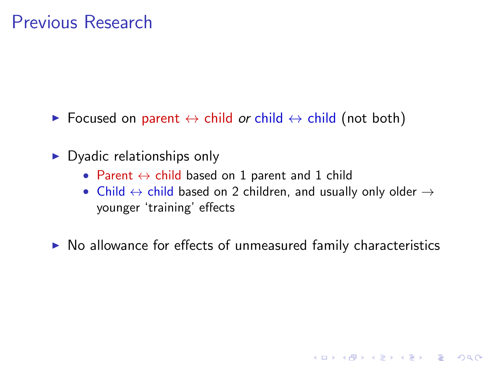- **►** Focused on parent  $\leftrightarrow$  child or child  $\leftrightarrow$  child (not both)
- $\triangleright$  Dyadic relationships only
	- Parent  $\leftrightarrow$  child based on 1 parent and 1 child
	- Child  $\leftrightarrow$  child based on 2 children, and usually only older  $\rightarrow$ younger 'training' effects

**KORK ERKER ADE YOUR** 

 $\triangleright$  No allowance for effects of unmeasured family characteristics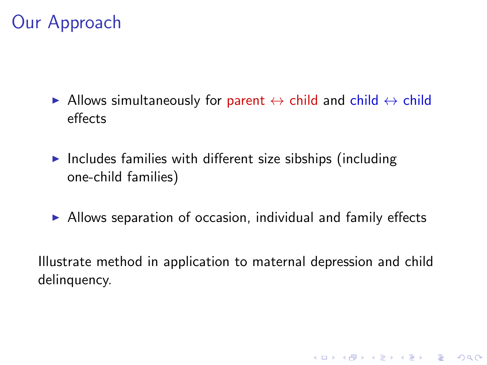## Our Approach

- Allows simultaneously for parent  $\leftrightarrow$  child and child  $\leftrightarrow$  child effects
- Includes families with different size sibships (including one-child families)
- $\triangleright$  Allows separation of occasion, individual and family effects

Illustrate method in application to maternal depression and child delinquency.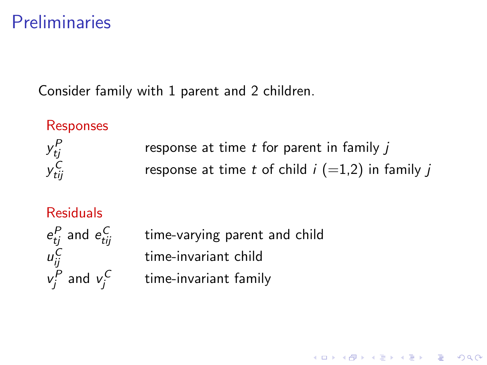### Preliminaries

Consider family with 1 parent and 2 children.

#### Responses y P response at time  $t$  for parent in family  $i$ y<sub>ti.</sub> response at time t of child  $i$  (=1,2) in family j

#### Residuals

 $e_{tj}^P$  and  $e_{tij}^C$ u C  $v_j^P$  and  $v_j^C$  time-varying parent and child time-invariant child time-invariant family

**KORK ERKER ADE YOUR**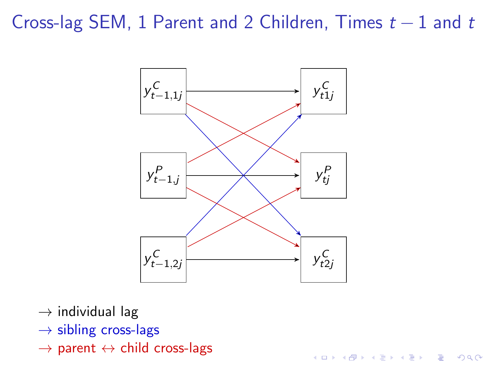## Cross-lag SEM, 1 Parent and 2 Children, Times  $t - 1$  and  $t$



- $\rightarrow$  individual lag
- $\rightarrow$  sibling cross-lags
- $\rightarrow$  parent  $\leftrightarrow$  child cross-lags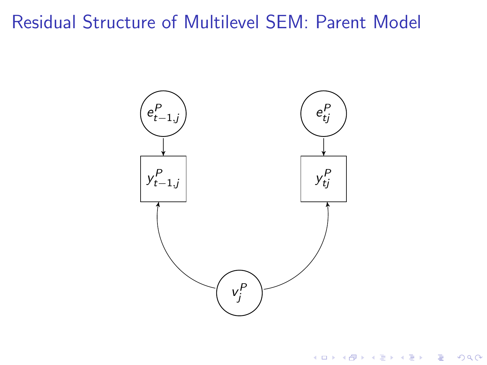## Residual Structure of Multilevel SEM: Parent Model



イロト イ御 トイミト イミト ニミー りんぴ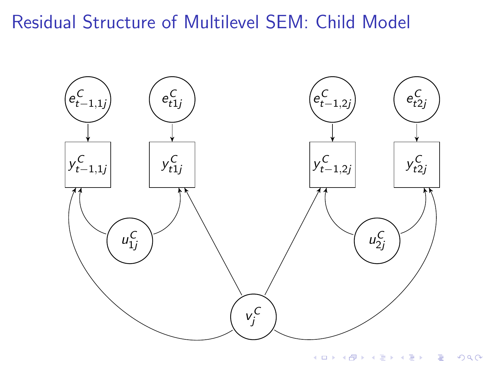## Residual Structure of Multilevel SEM: Child Model



K ロ X K 個 X K 결 X K 결 X ( 결 )  $2990$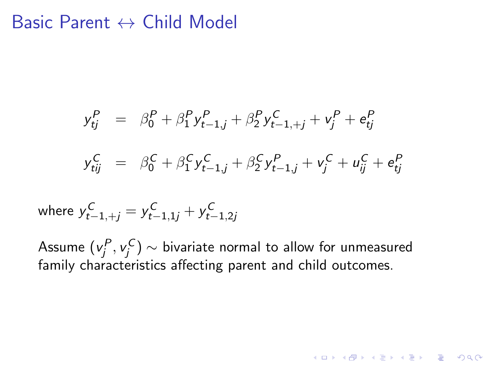#### Basic Parent  $\leftrightarrow$  Child Model

$$
y_{tj}^{P} = \beta_{0}^{P} + \beta_{1}^{P} y_{t-1,j}^{P} + \beta_{2}^{P} y_{t-1,+j}^{C} + v_{j}^{P} + e_{tj}^{P}
$$
  

$$
y_{tij}^{C} = \beta_{0}^{C} + \beta_{1}^{C} y_{t-1,j}^{C} + \beta_{2}^{C} y_{t-1,j}^{P} + v_{j}^{C} + u_{ij}^{C} + e_{tj}^{P}
$$

where  $y_{t-1,+j}^{\mathcal{C}} = y_{t-1,1j}^{\mathcal{C}} + y_{t-1,2j}^{\mathcal{C}}$ 

Assume  $({\mathsf v}_j^P,{\mathsf v}_j^{\mathsf C})\sim$  bivariate normal to allow for unmeasured family characteristics affecting parent and child outcomes.

KID KA KERKER E VONG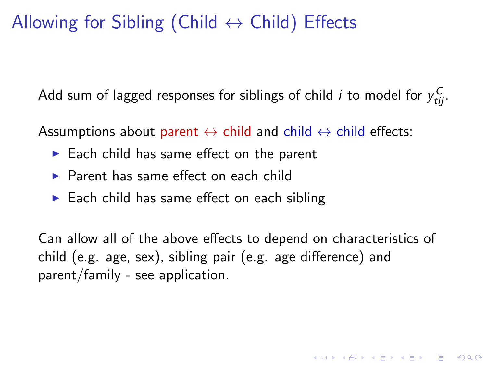## Allowing for Sibling (Child  $\leftrightarrow$  Child) Effects

Add sum of lagged responses for siblings of child  $i$  to model for  $y_{tij}^C$ .

Assumptions about parent  $\leftrightarrow$  child and child  $\leftrightarrow$  child effects:

- $\blacktriangleright$  Each child has same effect on the parent
- $\blacktriangleright$  Parent has same effect on each child
- $\blacktriangleright$  Each child has same effect on each sibling

Can allow all of the above effects to depend on characteristics of child (e.g. age, sex), sibling pair (e.g. age difference) and parent/family - see application.

**KORKAR KERKER E VOOR**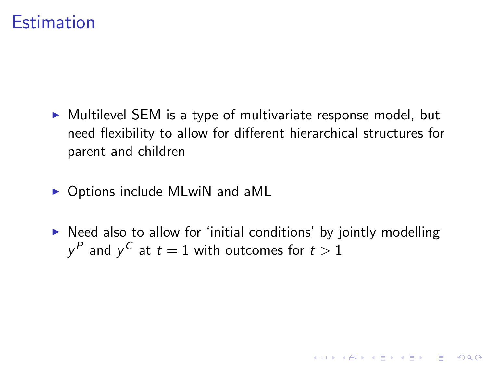#### **Estimation**

- $\triangleright$  Multilevel SEM is a type of multivariate response model, but need flexibility to allow for different hierarchical structures for parent and children
- $\triangleright$  Options include MLwiN and aML
- $\triangleright$  Need also to allow for 'initial conditions' by jointly modelling  $y^P$  and  $y^C$  at  $t=1$  with outcomes for  $t>1$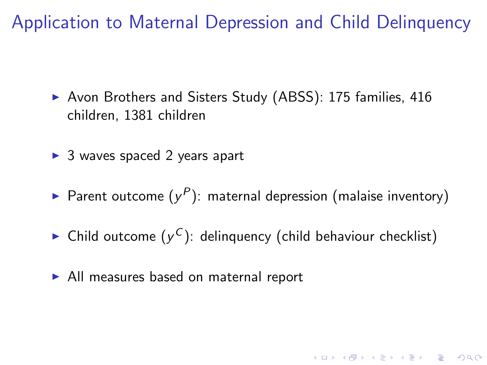Application to Maternal Depression and Child Delinquency

- ▶ Avon Brothers and Sisters Study (ABSS): 175 families, 416 children, 1381 children
- $\triangleright$  3 waves spaced 2 years apart
- Parent outcome  $(y^P)$ : maternal depression (malaise inventory)
- $\blacktriangleright$  Child outcome  $(y^C)$ : delinquency (child behaviour checklist)

KID KA KERKER E VOOR

 $\triangleright$  All measures based on maternal report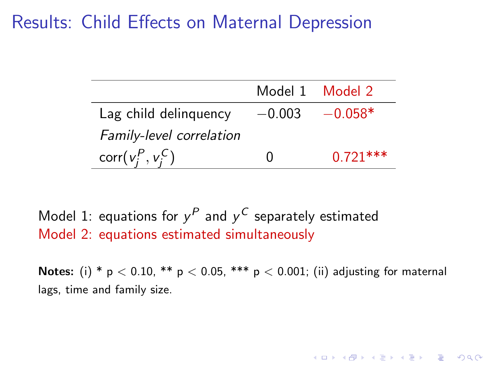## Results: Child Effects on Maternal Depression

|                          |              | Model 1 Model 2 |
|--------------------------|--------------|-----------------|
| Lag child delinguency    | $-0.003$     | $-0.058*$       |
| Family-level correlation |              |                 |
| corr $(v_i^P, v_i^C)$    | $\mathbf{I}$ | $0.721***$      |

Model 1: equations for  $y^P$  and  $y^C$  separately estimated Model 2: equations estimated simultaneously

**Notes:** (i) \*  $p < 0.10$ , \*\*  $p < 0.05$ , \*\*\*  $p < 0.001$ ; (ii) adjusting for maternal lags, time and family size.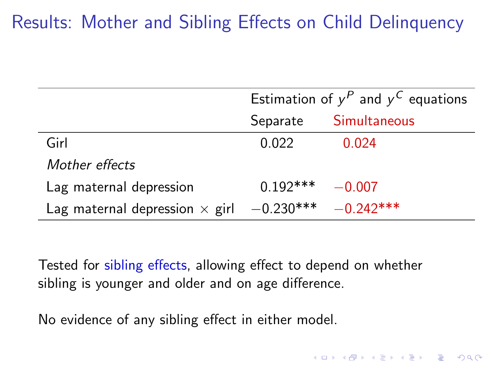## Results: Mother and Sibling Effects on Child Delinquency

|                                       | Estimation of $y^P$ and $y^C$ equations |              |
|---------------------------------------|-----------------------------------------|--------------|
|                                       | Separate                                | Simultaneous |
| Girl                                  | 0.022                                   | 0.024        |
| Mother effects                        |                                         |              |
| Lag maternal depression               | $0.192***$                              | $-0.007$     |
| Lag maternal depression $\times$ girl | $-0.230***$                             | $-0.242***$  |

Tested for sibling effects, allowing effect to depend on whether sibling is younger and older and on age difference.

**K ロ ▶ K @ ▶ K 할 X X 할 X 및 할 X X Q Q O** 

No evidence of any sibling effect in either model.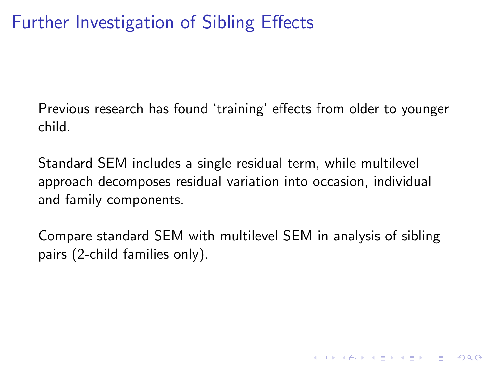## Further Investigation of Sibling Effects

Previous research has found 'training' effects from older to younger child.

Standard SEM includes a single residual term, while multilevel approach decomposes residual variation into occasion, individual and family components.

Compare standard SEM with multilevel SEM in analysis of sibling pairs (2-child families only).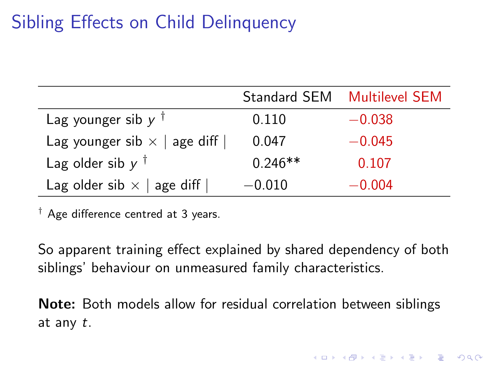## Sibling Effects on Child Delinquency

|                                     |           | Standard SEM Multilevel SEM |
|-------------------------------------|-----------|-----------------------------|
| Lag younger sib $y^{\dagger}$       | 0.110     | $-0.038$                    |
| Lag younger sib $\times$   age diff | 0.047     | $-0.045$                    |
| Lag older sib $y^{\dagger}$         | $0.246**$ | 0.107                       |
| Lag older sib $\times$   age diff   | $-0.010$  | $-0.004$                    |

 $\dagger$  Age difference centred at 3 years.

So apparent training effect explained by shared dependency of both siblings' behaviour on unmeasured family characteristics.

Note: Both models allow for residual correlation between siblings at any t.

4 D > 4 P + 4 B + 4 B + B + 9 Q O